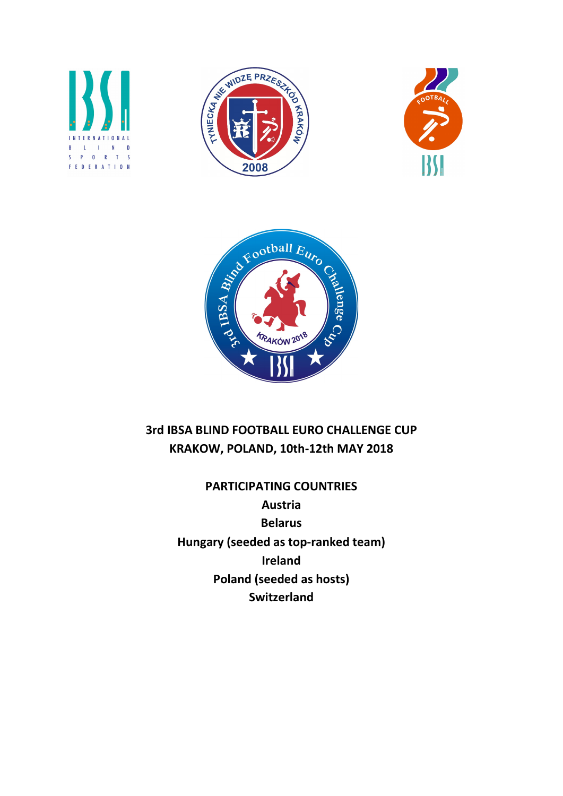







# 3rd IBSA BLIND FOOTBALL EURO CHALLENGE CUP KRAKOW, POLAND, 10th-12th MAY 2018

PARTICIPATING COUNTRIES Austria Belarus Hungary (seeded as top-ranked team) Ireland Poland (seeded as hosts) **Switzerland**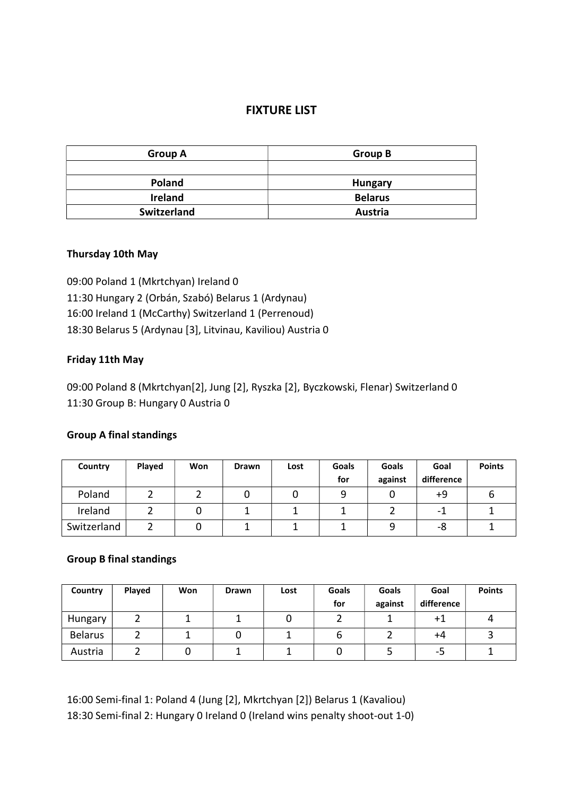## FIXTURE LIST

| <b>Group A</b> | <b>Group B</b> |  |  |
|----------------|----------------|--|--|
|                |                |  |  |
| <b>Poland</b>  | <b>Hungary</b> |  |  |
| <b>Ireland</b> | <b>Belarus</b> |  |  |
| Switzerland    | Austria        |  |  |

### Thursday 10th May

09:00 Poland 1 (Mkrtchyan) Ireland 0 11:30 Hungary 2 (Orbán, Szabó) Belarus 1 (Ardynau) 16:00 Ireland 1 (McCarthy) Switzerland 1 (Perrenoud) 18:30 Belarus 5 (Ardynau [3], Litvinau, Kaviliou) Austria 0

#### Friday 11th May

09:00 Poland 8 (Mkrtchyan[2], Jung [2], Ryszka [2], Byczkowski, Flenar) Switzerland 0 11:30 Group B: Hungary 0 Austria 0

#### Group A final standings

| Country     | Played | Won | <b>Drawn</b> | Lost | Goals<br>for | Goals<br>against | Goal<br>difference | <b>Points</b> |
|-------------|--------|-----|--------------|------|--------------|------------------|--------------------|---------------|
| Poland      |        |     |              |      |              |                  | +9                 |               |
| Ireland     |        |     |              |      |              |                  | -                  |               |
| Switzerland |        |     |              |      |              |                  | -8                 |               |

#### Group B final standings

| Country        | <b>Played</b> | Won | <b>Drawn</b> | Lost | <b>Goals</b> | Goals   | Goal       | <b>Points</b> |
|----------------|---------------|-----|--------------|------|--------------|---------|------------|---------------|
|                |               |     |              |      | for          | against | difference |               |
| Hungary        |               |     |              |      |              |         | $+1$       |               |
| <b>Belarus</b> |               |     |              |      |              |         | +4         |               |
| Austria        |               |     |              |      |              |         | כ-         |               |

16:00 Semi-final 1: Poland 4 (Jung [2], Mkrtchyan [2]) Belarus 1 (Kavaliou) 18:30 Semi-final 2: Hungary 0 Ireland 0 (Ireland wins penalty shoot-out 1-0)